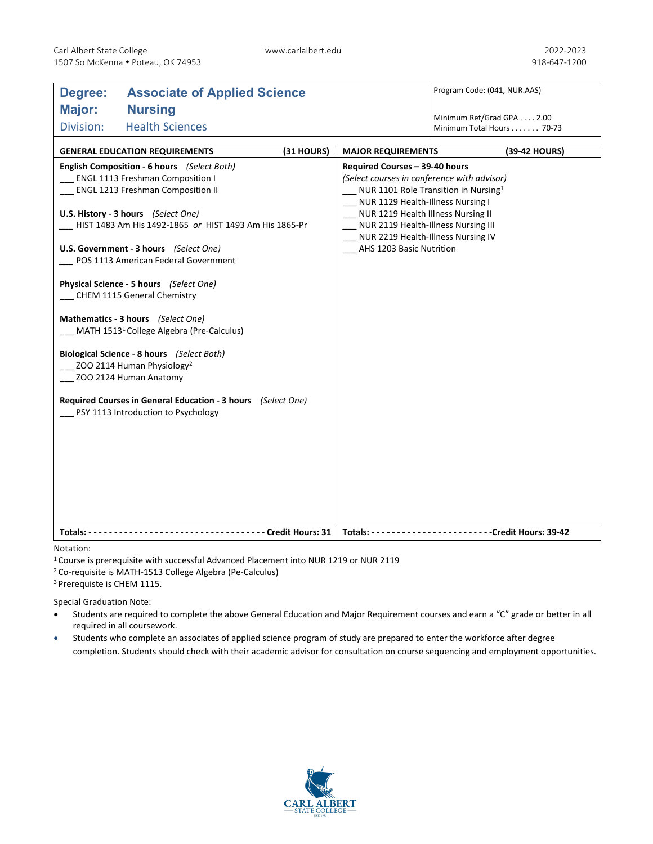| <b>Associate of Applied Science</b><br>Degree:               |            |                                                                  | Program Code: (041, NUR.AAS) |  |
|--------------------------------------------------------------|------------|------------------------------------------------------------------|------------------------------|--|
| Major:<br><b>Nursing</b>                                     |            |                                                                  | Minimum Ret/Grad GPA 2.00    |  |
| Division:<br><b>Health Sciences</b>                          |            |                                                                  | Minimum Total Hours 70-73    |  |
|                                                              |            |                                                                  |                              |  |
| <b>GENERAL EDUCATION REQUIREMENTS</b>                        | (31 HOURS) | <b>MAJOR REQUIREMENTS</b>                                        | (39-42 HOURS)                |  |
| English Composition - 6 hours (Select Both)                  |            | Required Courses - 39-40 hours                                   |                              |  |
| ENGL 1113 Freshman Composition I                             |            | (Select courses in conference with advisor)                      |                              |  |
| <b>ENGL 1213 Freshman Composition II</b>                     |            | NUR 1101 Role Transition in Nursing <sup>1</sup>                 |                              |  |
|                                                              |            | NUR 1129 Health-Illness Nursing I                                |                              |  |
| U.S. History - 3 hours (Select One)                          |            | NUR 1219 Health Illness Nursing II                               |                              |  |
| HIST 1483 Am His 1492-1865 or HIST 1493 Am His 1865-Pr       |            | NUR 2119 Health-Illness Nursing III                              |                              |  |
| U.S. Government - 3 hours (Select One)                       |            | NUR 2219 Health-Illness Nursing IV<br>_ AHS 1203 Basic Nutrition |                              |  |
| POS 1113 American Federal Government                         |            |                                                                  |                              |  |
|                                                              |            |                                                                  |                              |  |
| Physical Science - 5 hours (Select One)                      |            |                                                                  |                              |  |
| CHEM 1115 General Chemistry                                  |            |                                                                  |                              |  |
| Mathematics - 3 hours (Select One)                           |            |                                                                  |                              |  |
| MATH 1513 <sup>1</sup> College Algebra (Pre-Calculus)        |            |                                                                  |                              |  |
|                                                              |            |                                                                  |                              |  |
| Biological Science - 8 hours (Select Both)                   |            |                                                                  |                              |  |
| ZOO 2114 Human Physiology <sup>2</sup>                       |            |                                                                  |                              |  |
| ZOO 2124 Human Anatomy                                       |            |                                                                  |                              |  |
| Required Courses in General Education - 3 hours (Select One) |            |                                                                  |                              |  |
| PSY 1113 Introduction to Psychology                          |            |                                                                  |                              |  |
|                                                              |            |                                                                  |                              |  |
|                                                              |            |                                                                  |                              |  |
|                                                              |            |                                                                  |                              |  |
|                                                              |            |                                                                  |                              |  |
|                                                              |            |                                                                  |                              |  |
|                                                              |            |                                                                  |                              |  |
|                                                              |            |                                                                  |                              |  |
|                                                              |            |                                                                  |                              |  |
|                                                              |            |                                                                  |                              |  |

## Notation:

1 Course is prerequisite with successful Advanced Placement into NUR 1219 or NUR 2119

2 Co-requisite is MATH-1513 College Algebra (Pe-Calculus)

3 Prerequiste is CHEM 1115.

Special Graduation Note:

- Students are required to complete the above General Education and Major Requirement courses and earn a "C" grade or better in all required in all coursework.
- Students who complete an associates of applied science program of study are prepared to enter the workforce after degree completion. Students should check with their academic advisor for consultation on course sequencing and employment opportunities.